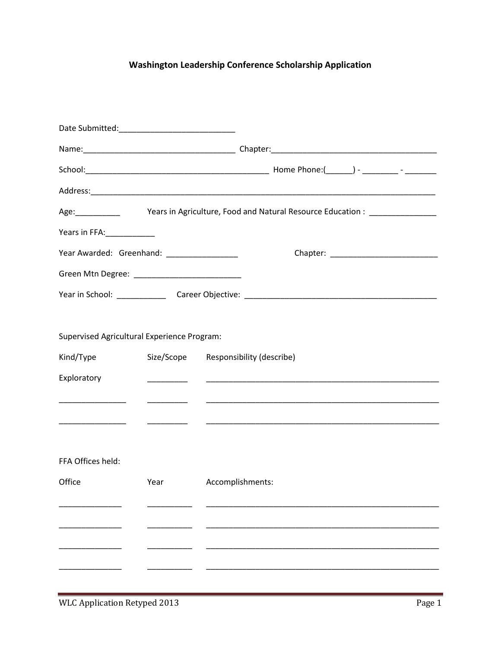## Washington Leadership Conference Scholarship Application

|                                             | Age: Vears in Agriculture, Food and Natural Resource Education : _______________                                                                                                                                                     |                           |  |  |  |  |  |  |
|---------------------------------------------|--------------------------------------------------------------------------------------------------------------------------------------------------------------------------------------------------------------------------------------|---------------------------|--|--|--|--|--|--|
| Years in FFA:____________                   |                                                                                                                                                                                                                                      |                           |  |  |  |  |  |  |
| Year Awarded: Greenhand: _________________  |                                                                                                                                                                                                                                      |                           |  |  |  |  |  |  |
|                                             |                                                                                                                                                                                                                                      |                           |  |  |  |  |  |  |
|                                             |                                                                                                                                                                                                                                      |                           |  |  |  |  |  |  |
|                                             |                                                                                                                                                                                                                                      |                           |  |  |  |  |  |  |
| Supervised Agricultural Experience Program: |                                                                                                                                                                                                                                      |                           |  |  |  |  |  |  |
| Kind/Type                                   | Size/Scope                                                                                                                                                                                                                           | Responsibility (describe) |  |  |  |  |  |  |
| Exploratory                                 | <u> De Carlos de Carlos de Carlos de Carlos de Carlos de Carlos de Carlos de Carlos de Carlos de Carlos de Carlos de Carlos de Carlos de Carlos de Carlos de Carlos de Carlos de Carlos de Carlos de Carlos de Carlos de Carlos </u> |                           |  |  |  |  |  |  |
|                                             | __________                                                                                                                                                                                                                           |                           |  |  |  |  |  |  |
|                                             |                                                                                                                                                                                                                                      |                           |  |  |  |  |  |  |
|                                             |                                                                                                                                                                                                                                      |                           |  |  |  |  |  |  |
| FFA Offices held:                           |                                                                                                                                                                                                                                      |                           |  |  |  |  |  |  |
| Office                                      | Year                                                                                                                                                                                                                                 | Accomplishments:          |  |  |  |  |  |  |
|                                             |                                                                                                                                                                                                                                      |                           |  |  |  |  |  |  |
|                                             |                                                                                                                                                                                                                                      |                           |  |  |  |  |  |  |
|                                             |                                                                                                                                                                                                                                      |                           |  |  |  |  |  |  |
|                                             |                                                                                                                                                                                                                                      |                           |  |  |  |  |  |  |
|                                             |                                                                                                                                                                                                                                      |                           |  |  |  |  |  |  |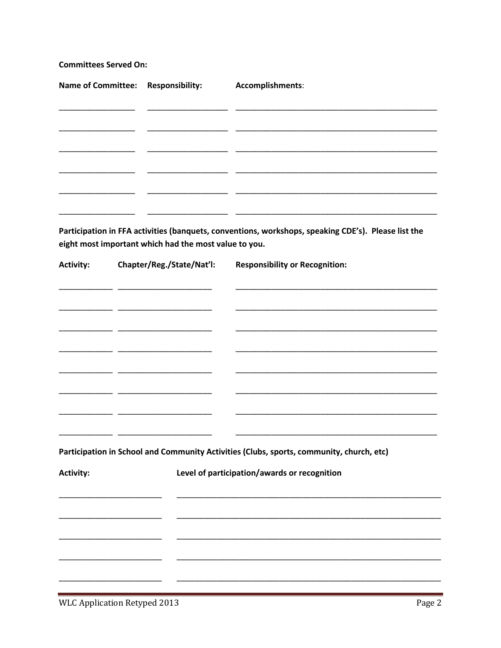**Committees Served On:** 

| Name of Committee: Responsibility: | Accomplishments: |  |
|------------------------------------|------------------|--|
|                                    |                  |  |
|                                    |                  |  |
|                                    |                  |  |
|                                    |                  |  |
|                                    |                  |  |
|                                    |                  |  |
|                                    |                  |  |

Participation in FFA activities (banquets, conventions, workshops, speaking CDE's). Please list the eight most important which had the most value to you.

| <b>Activity:</b> | Chapter/Reg./State/Nat'l:                                                                                                                                                                                                            | <b>Responsibility or Recognition:</b>                                                                                  |  |  |  |  |
|------------------|--------------------------------------------------------------------------------------------------------------------------------------------------------------------------------------------------------------------------------------|------------------------------------------------------------------------------------------------------------------------|--|--|--|--|
|                  | <u> 1989 - Johann John Stone, mars et al. 1989 - John Stone, mars et al. 1989 - John Stone, mars et al. 1989 - John Stone</u>                                                                                                        | <u> 1989 - Johann John Harry Harry Harry Harry Harry Harry Harry Harry Harry Harry Harry Harry Harry Harry Harry H</u> |  |  |  |  |
|                  |                                                                                                                                                                                                                                      |                                                                                                                        |  |  |  |  |
|                  |                                                                                                                                                                                                                                      |                                                                                                                        |  |  |  |  |
|                  |                                                                                                                                                                                                                                      |                                                                                                                        |  |  |  |  |
|                  |                                                                                                                                                                                                                                      |                                                                                                                        |  |  |  |  |
|                  |                                                                                                                                                                                                                                      |                                                                                                                        |  |  |  |  |
|                  | <u> 1989 - Johann John Harry Harry Harry Harry Harry Harry Harry Harry Harry Harry Harry Harry Harry Harry Harry Harry Harry Harry Harry Harry Harry Harry Harry Harry Harry Harry Harry Harry Harry Harry Harry Harry Harry Har</u> |                                                                                                                        |  |  |  |  |
|                  |                                                                                                                                                                                                                                      |                                                                                                                        |  |  |  |  |
|                  |                                                                                                                                                                                                                                      |                                                                                                                        |  |  |  |  |
|                  |                                                                                                                                                                                                                                      | Participation in School and Community Activities (Clubs, sports, community, church, etc)                               |  |  |  |  |
| <b>Activity:</b> |                                                                                                                                                                                                                                      | Level of participation/awards or recognition                                                                           |  |  |  |  |
|                  |                                                                                                                                                                                                                                      |                                                                                                                        |  |  |  |  |
|                  |                                                                                                                                                                                                                                      |                                                                                                                        |  |  |  |  |
|                  |                                                                                                                                                                                                                                      |                                                                                                                        |  |  |  |  |
|                  |                                                                                                                                                                                                                                      |                                                                                                                        |  |  |  |  |
|                  |                                                                                                                                                                                                                                      |                                                                                                                        |  |  |  |  |
|                  |                                                                                                                                                                                                                                      |                                                                                                                        |  |  |  |  |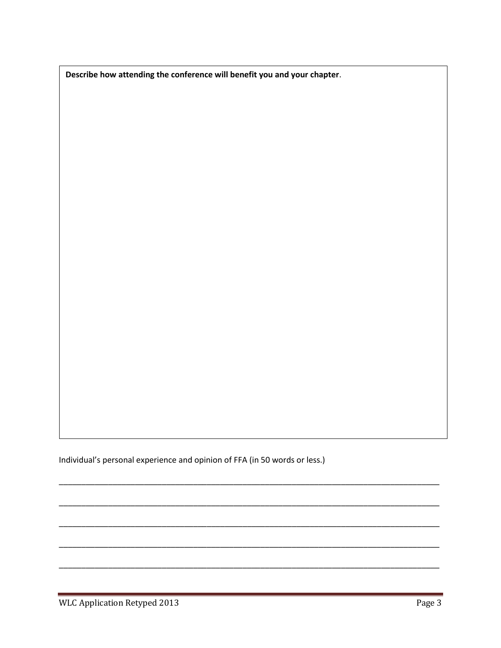Describe how attending the conference will benefit you and your chapter.

Individual's personal experience and opinion of FFA (in 50 words or less.)